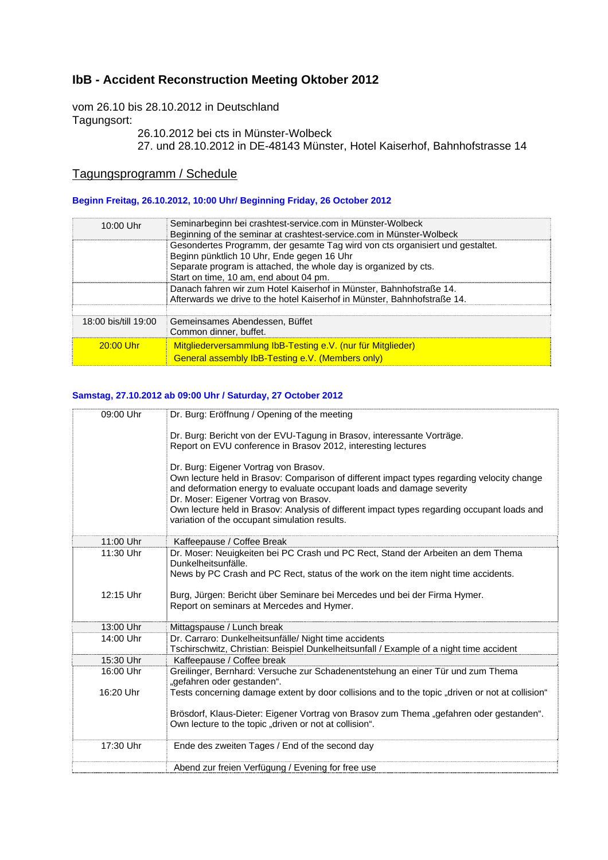# **IbB - Accident Reconstruction Meeting Oktober 2012**

vom 26.10 bis 28.10.2012 in Deutschland Tagungsort:

26.10.2012 bei cts in Münster-Wolbeck 27. und 28.10.2012 in DE-48143 Münster, Hotel Kaiserhof, Bahnhofstrasse 14

## Tagungsprogramm / Schedule

#### **Beginn Freitag, 26.10.2012, 10:00 Uhr/ Beginning Friday, 26 October 2012**

| $10:00$ Uhr          | Seminarbeginn bei crashtest-service.com in Münster-Wolbeck<br>Beginning of the seminar at crashtest-service.com in Münster-Wolbeck                                                                                                        |
|----------------------|-------------------------------------------------------------------------------------------------------------------------------------------------------------------------------------------------------------------------------------------|
|                      | Gesondertes Programm, der gesamte Tag wird von cts organisiert und gestaltet.<br>Beginn pünktlich 10 Uhr, Ende gegen 16 Uhr<br>Separate program is attached, the whole day is organized by cts.<br>Start on time, 10 am, end about 04 pm. |
|                      | Danach fahren wir zum Hotel Kaiserhof in Münster, Bahnhofstraße 14.<br>Afterwards we drive to the hotel Kaiserhof in Münster, Bahnhofstraße 14.                                                                                           |
| 18:00 bis/till 19:00 | Gemeinsames Abendessen, Büffet<br>Common dinner, buffet.                                                                                                                                                                                  |
| $20:00$ Uhr          | Mitgliederversammlung IbB-Testing e.V. (nur für Mitglieder)<br>General assembly IbB-Testing e.V. (Members only)                                                                                                                           |

#### **Samstag, 27.10.2012 ab 09:00 Uhr / Saturday, 27 October 2012**

| 09:00 Uhr | Dr. Burg: Eröffnung / Opening of the meeting                                                                                                                                                                                                                                                                                                                                                           |
|-----------|--------------------------------------------------------------------------------------------------------------------------------------------------------------------------------------------------------------------------------------------------------------------------------------------------------------------------------------------------------------------------------------------------------|
|           | Dr. Burg: Bericht von der EVU-Tagung in Brasov, interessante Vorträge.<br>Report on EVU conference in Brasov 2012, interesting lectures                                                                                                                                                                                                                                                                |
|           | Dr. Burg: Eigener Vortrag von Brasov.<br>Own lecture held in Brasov: Comparison of different impact types regarding velocity change<br>and deformation energy to evaluate occupant loads and damage severity<br>Dr. Moser: Eigener Vortrag von Brasov.<br>Own lecture held in Brasov: Analysis of different impact types regarding occupant loads and<br>variation of the occupant simulation results. |
| 11:00 Uhr | Kaffeepause / Coffee Break                                                                                                                                                                                                                                                                                                                                                                             |
| 11:30 Uhr | Dr. Moser: Neuigkeiten bei PC Crash und PC Rect, Stand der Arbeiten an dem Thema<br>Dunkelheitsunfälle.<br>News by PC Crash and PC Rect, status of the work on the item night time accidents.                                                                                                                                                                                                          |
|           |                                                                                                                                                                                                                                                                                                                                                                                                        |
| 12:15 Uhr | Burg, Jürgen: Bericht über Seminare bei Mercedes und bei der Firma Hymer.<br>Report on seminars at Mercedes and Hymer.                                                                                                                                                                                                                                                                                 |
| 13:00 Uhr | Mittagspause / Lunch break                                                                                                                                                                                                                                                                                                                                                                             |
| 14:00 Uhr | Dr. Carraro: Dunkelheitsunfälle/ Night time accidents<br>Tschirschwitz, Christian: Beispiel Dunkelheitsunfall / Example of a night time accident                                                                                                                                                                                                                                                       |
| 15:30 Uhr | Kaffeepause / Coffee break                                                                                                                                                                                                                                                                                                                                                                             |
| 16:00 Uhr | Greilinger, Bernhard: Versuche zur Schadenentstehung an einer Tür und zum Thema<br>"gefahren oder gestanden".                                                                                                                                                                                                                                                                                          |
| 16:20 Uhr | Tests concerning damage extent by door collisions and to the topic "driven or not at collision"                                                                                                                                                                                                                                                                                                        |
|           | Brösdorf, Klaus-Dieter: Eigener Vortrag von Brasov zum Thema "gefahren oder gestanden".<br>Own lecture to the topic "driven or not at collision".                                                                                                                                                                                                                                                      |
| 17:30 Uhr | Ende des zweiten Tages / End of the second day                                                                                                                                                                                                                                                                                                                                                         |
|           | Abend zur freien Verfügung / Evening for free use                                                                                                                                                                                                                                                                                                                                                      |